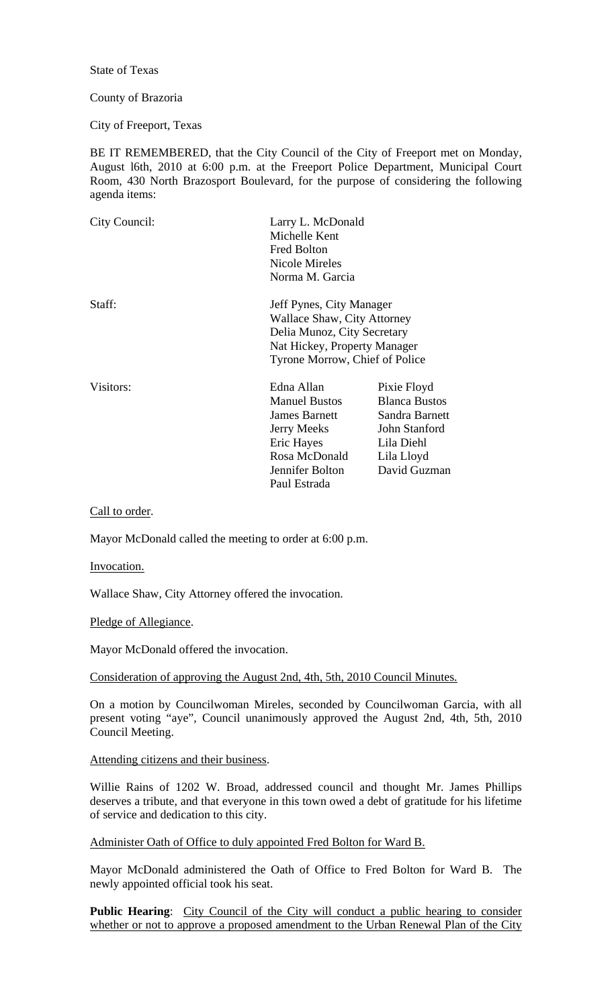State of Texas

# County of Brazoria

City of Freeport, Texas

BE IT REMEMBERED, that the City Council of the City of Freeport met on Monday, August l6th, 2010 at 6:00 p.m. at the Freeport Police Department, Municipal Court Room, 430 North Brazosport Boulevard, for the purpose of considering the following agenda items:

| City Council: | Larry L. McDonald<br>Michelle Kent<br><b>Fred Bolton</b><br>Nicole Mireles<br>Norma M. Garcia                                                            |                                                                                                                    |  |
|---------------|----------------------------------------------------------------------------------------------------------------------------------------------------------|--------------------------------------------------------------------------------------------------------------------|--|
| Staff:        | Jeff Pynes, City Manager<br>Wallace Shaw, City Attorney<br>Delia Munoz, City Secretary<br>Nat Hickey, Property Manager<br>Tyrone Morrow, Chief of Police |                                                                                                                    |  |
| Visitors:     | Edna Allan<br><b>Manuel Bustos</b><br><b>James Barnett</b><br><b>Jerry Meeks</b><br>Eric Hayes<br>Rosa McDonald<br>Jennifer Bolton<br>Paul Estrada       | Pixie Floyd<br><b>Blanca Bustos</b><br>Sandra Barnett<br>John Stanford<br>Lila Diehl<br>Lila Lloyd<br>David Guzman |  |

## Call to order.

Mayor McDonald called the meeting to order at 6:00 p.m.

#### Invocation.

Wallace Shaw, City Attorney offered the invocation.

Pledge of Allegiance.

Mayor McDonald offered the invocation.

#### Consideration of approving the August 2nd, 4th, 5th, 2010 Council Minutes.

On a motion by Councilwoman Mireles, seconded by Councilwoman Garcia, with all present voting "aye", Council unanimously approved the August 2nd, 4th, 5th, 2010 Council Meeting.

## Attending citizens and their business.

Willie Rains of 1202 W. Broad, addressed council and thought Mr. James Phillips deserves a tribute, and that everyone in this town owed a debt of gratitude for his lifetime of service and dedication to this city.

## Administer Oath of Office to duly appointed Fred Bolton for Ward B.

Mayor McDonald administered the Oath of Office to Fred Bolton for Ward B. The newly appointed official took his seat.

**Public Hearing:** City Council of the City will conduct a public hearing to consider whether or not to approve a proposed amendment to the Urban Renewal Plan of the City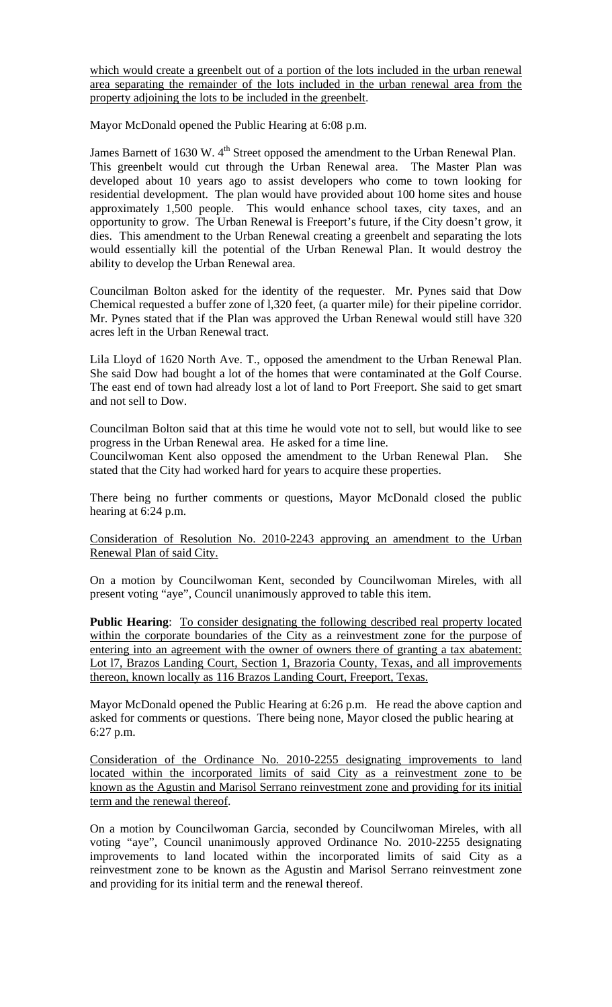which would create a greenbelt out of a portion of the lots included in the urban renewal area separating the remainder of the lots included in the urban renewal area from the property adjoining the lots to be included in the greenbelt.

Mayor McDonald opened the Public Hearing at 6:08 p.m.

James Barnett of 1630 W. 4<sup>th</sup> Street opposed the amendment to the Urban Renewal Plan. This greenbelt would cut through the Urban Renewal area. The Master Plan was developed about 10 years ago to assist developers who come to town looking for residential development. The plan would have provided about 100 home sites and house approximately 1,500 people. This would enhance school taxes, city taxes, and an opportunity to grow. The Urban Renewal is Freeport's future, if the City doesn't grow, it dies. This amendment to the Urban Renewal creating a greenbelt and separating the lots would essentially kill the potential of the Urban Renewal Plan. It would destroy the ability to develop the Urban Renewal area.

Councilman Bolton asked for the identity of the requester. Mr. Pynes said that Dow Chemical requested a buffer zone of l,320 feet, (a quarter mile) for their pipeline corridor. Mr. Pynes stated that if the Plan was approved the Urban Renewal would still have 320 acres left in the Urban Renewal tract.

Lila Lloyd of 1620 North Ave. T., opposed the amendment to the Urban Renewal Plan. She said Dow had bought a lot of the homes that were contaminated at the Golf Course. The east end of town had already lost a lot of land to Port Freeport. She said to get smart and not sell to Dow.

Councilman Bolton said that at this time he would vote not to sell, but would like to see progress in the Urban Renewal area. He asked for a time line.

Councilwoman Kent also opposed the amendment to the Urban Renewal Plan. She stated that the City had worked hard for years to acquire these properties.

There being no further comments or questions, Mayor McDonald closed the public hearing at 6:24 p.m.

Consideration of Resolution No. 2010-2243 approving an amendment to the Urban Renewal Plan of said City.

On a motion by Councilwoman Kent, seconded by Councilwoman Mireles, with all present voting "aye", Council unanimously approved to table this item.

Public Hearing: To consider designating the following described real property located within the corporate boundaries of the City as a reinvestment zone for the purpose of entering into an agreement with the owner of owners there of granting a tax abatement: Lot l7, Brazos Landing Court, Section 1, Brazoria County, Texas, and all improvements thereon, known locally as 116 Brazos Landing Court, Freeport, Texas.

Mayor McDonald opened the Public Hearing at 6:26 p.m. He read the above caption and asked for comments or questions. There being none, Mayor closed the public hearing at 6:27 p.m.

Consideration of the Ordinance No. 2010-2255 designating improvements to land located within the incorporated limits of said City as a reinvestment zone to be known as the Agustin and Marisol Serrano reinvestment zone and providing for its initial term and the renewal thereof.

On a motion by Councilwoman Garcia, seconded by Councilwoman Mireles, with all voting "aye", Council unanimously approved Ordinance No. 2010-2255 designating improvements to land located within the incorporated limits of said City as a reinvestment zone to be known as the Agustin and Marisol Serrano reinvestment zone and providing for its initial term and the renewal thereof.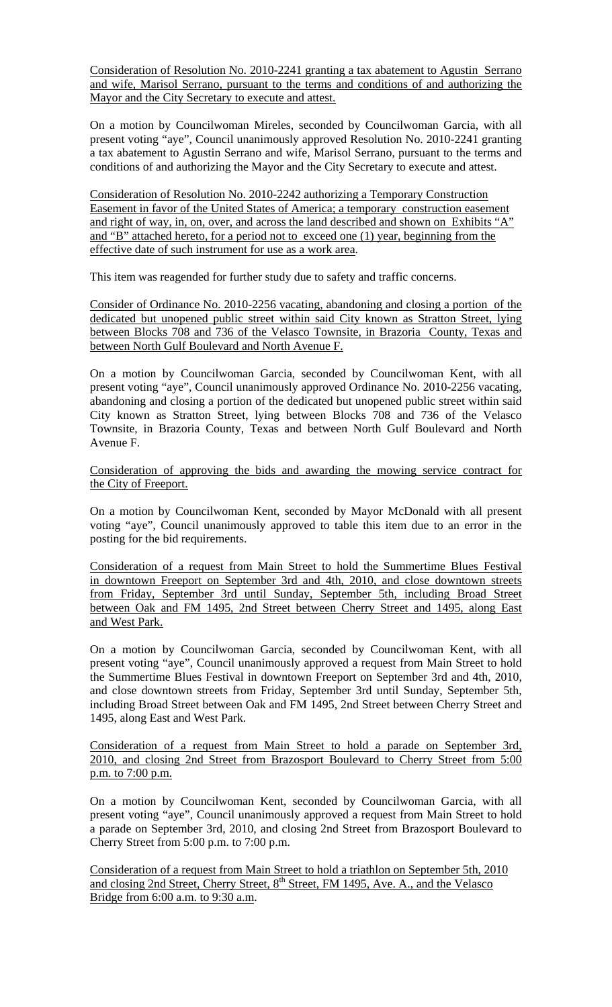Consideration of Resolution No. 2010-2241 granting a tax abatement to Agustin Serrano and wife, Marisol Serrano, pursuant to the terms and conditions of and authorizing the Mayor and the City Secretary to execute and attest.

On a motion by Councilwoman Mireles, seconded by Councilwoman Garcia, with all present voting "aye", Council unanimously approved Resolution No. 2010-2241 granting a tax abatement to Agustin Serrano and wife, Marisol Serrano, pursuant to the terms and conditions of and authorizing the Mayor and the City Secretary to execute and attest.

Consideration of Resolution No. 2010-2242 authorizing a Temporary Construction Easement in favor of the United States of America; a temporary construction easement and right of way, in, on, over, and across the land described and shown on Exhibits "A" and "B" attached hereto, for a period not to exceed one (1) year, beginning from the effective date of such instrument for use as a work area.

This item was reagended for further study due to safety and traffic concerns.

Consider of Ordinance No. 2010-2256 vacating, abandoning and closing a portion of the dedicated but unopened public street within said City known as Stratton Street, lying between Blocks 708 and 736 of the Velasco Townsite, in Brazoria County, Texas and between North Gulf Boulevard and North Avenue F.

On a motion by Councilwoman Garcia, seconded by Councilwoman Kent, with all present voting "aye", Council unanimously approved Ordinance No. 2010-2256 vacating, abandoning and closing a portion of the dedicated but unopened public street within said City known as Stratton Street, lying between Blocks 708 and 736 of the Velasco Townsite, in Brazoria County, Texas and between North Gulf Boulevard and North Avenue F.

Consideration of approving the bids and awarding the mowing service contract for the City of Freeport.

On a motion by Councilwoman Kent, seconded by Mayor McDonald with all present voting "aye", Council unanimously approved to table this item due to an error in the posting for the bid requirements.

Consideration of a request from Main Street to hold the Summertime Blues Festival in downtown Freeport on September 3rd and 4th, 2010, and close downtown streets from Friday, September 3rd until Sunday, September 5th, including Broad Street between Oak and FM 1495, 2nd Street between Cherry Street and 1495, along East and West Park.

On a motion by Councilwoman Garcia, seconded by Councilwoman Kent, with all present voting "aye", Council unanimously approved a request from Main Street to hold the Summertime Blues Festival in downtown Freeport on September 3rd and 4th, 2010, and close downtown streets from Friday, September 3rd until Sunday, September 5th, including Broad Street between Oak and FM 1495, 2nd Street between Cherry Street and 1495, along East and West Park.

Consideration of a request from Main Street to hold a parade on September 3rd, 2010, and closing 2nd Street from Brazosport Boulevard to Cherry Street from 5:00 p.m. to 7:00 p.m.

On a motion by Councilwoman Kent, seconded by Councilwoman Garcia, with all present voting "aye", Council unanimously approved a request from Main Street to hold a parade on September 3rd, 2010, and closing 2nd Street from Brazosport Boulevard to Cherry Street from 5:00 p.m. to 7:00 p.m.

Consideration of a request from Main Street to hold a triathlon on September 5th, 2010 and closing 2nd Street, Cherry Street, 8<sup>th</sup> Street, FM 1495, Ave. A., and the Velasco Bridge from 6:00 a.m. to 9:30 a.m.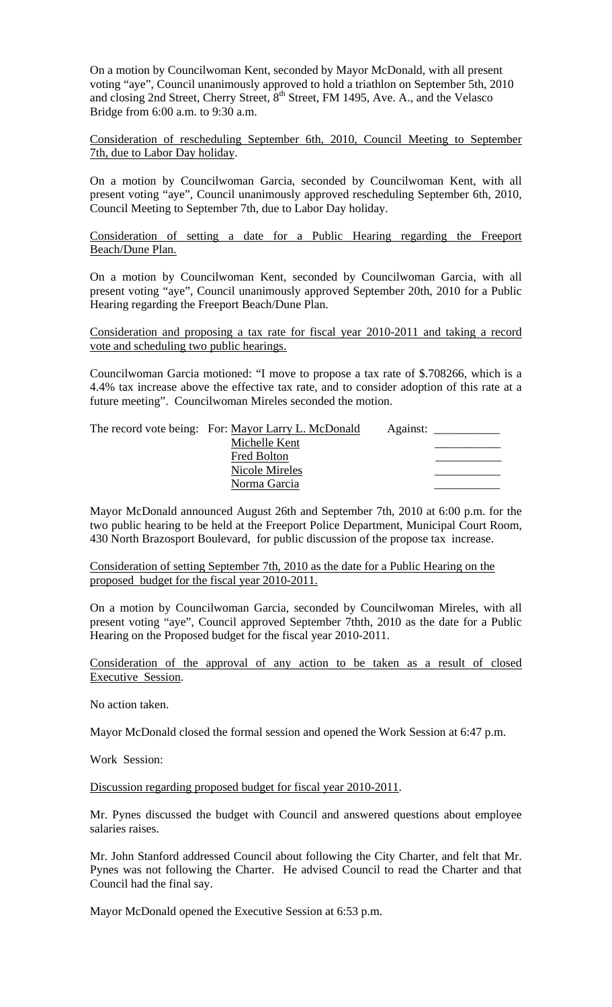On a motion by Councilwoman Kent, seconded by Mayor McDonald, with all present voting "aye", Council unanimously approved to hold a triathlon on September 5th, 2010 and closing 2nd Street, Cherry Street, 8<sup>th</sup> Street, FM 1495, Ave. A., and the Velasco Bridge from 6:00 a.m. to 9:30 a.m.

Consideration of rescheduling September 6th, 2010, Council Meeting to September 7th, due to Labor Day holiday.

On a motion by Councilwoman Garcia, seconded by Councilwoman Kent, with all present voting "aye", Council unanimously approved rescheduling September 6th, 2010, Council Meeting to September 7th, due to Labor Day holiday.

Consideration of setting a date for a Public Hearing regarding the Freeport Beach/Dune Plan.

On a motion by Councilwoman Kent, seconded by Councilwoman Garcia, with all present voting "aye", Council unanimously approved September 20th, 2010 for a Public Hearing regarding the Freeport Beach/Dune Plan.

Consideration and proposing a tax rate for fiscal year 2010-2011 and taking a record vote and scheduling two public hearings.

Councilwoman Garcia motioned: "I move to propose a tax rate of \$.708266, which is a 4.4% tax increase above the effective tax rate, and to consider adoption of this rate at a future meeting". Councilwoman Mireles seconded the motion.

| The record vote being: For: Mayor Larry L. McDonald | Against: |  |
|-----------------------------------------------------|----------|--|
| Michelle Kent                                       |          |  |
| Fred Bolton                                         |          |  |
| Nicole Mireles                                      |          |  |
| Norma Garcia                                        |          |  |

Mayor McDonald announced August 26th and September 7th, 2010 at 6:00 p.m. for the two public hearing to be held at the Freeport Police Department, Municipal Court Room, 430 North Brazosport Boulevard, for public discussion of the propose tax increase.

Consideration of setting September 7th, 2010 as the date for a Public Hearing on the proposed budget for the fiscal year 2010-2011.

On a motion by Councilwoman Garcia, seconded by Councilwoman Mireles, with all present voting "aye", Council approved September 7thth, 2010 as the date for a Public Hearing on the Proposed budget for the fiscal year 2010-2011.

Consideration of the approval of any action to be taken as a result of closed Executive Session.

No action taken.

Mayor McDonald closed the formal session and opened the Work Session at 6:47 p.m.

Work Session:

Discussion regarding proposed budget for fiscal year 2010-2011.

Mr. Pynes discussed the budget with Council and answered questions about employee salaries raises.

Mr. John Stanford addressed Council about following the City Charter, and felt that Mr. Pynes was not following the Charter. He advised Council to read the Charter and that Council had the final say.

Mayor McDonald opened the Executive Session at 6:53 p.m.